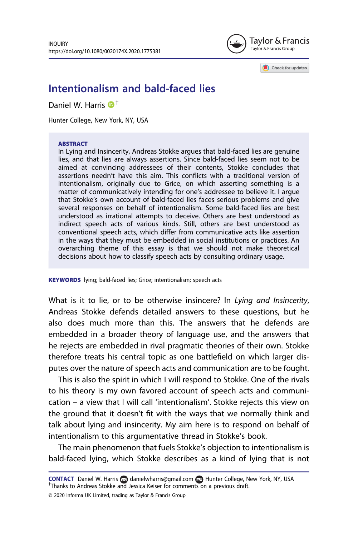

Check for updates

# Intentionalism and bald-faced lies

Daniel W. Harris  $\mathbf{D}^{\dagger}$ 

Hunter College, New York, NY, USA

#### ABSTRACT

In Lying and Insincerity, Andreas Stokke argues that bald-faced lies are genuine lies, and that lies are always assertions. Since bald-faced lies seem not to be aimed at convincing addressees of their contents, Stokke concludes that assertions needn't have this aim. This conflicts with a traditional version of intentionalism, originally due to Grice, on which asserting something is a matter of communicatively intending for one's addressee to believe it. I argue that Stokke's own account of bald-faced lies faces serious problems and give several responses on behalf of intentionalism. Some bald-faced lies are best understood as irrational attempts to deceive. Others are best understood as indirect speech acts of various kinds. Still, others are best understood as conventional speech acts, which differ from communicative acts like assertion in the ways that they must be embedded in social institutions or practices. An overarching theme of this essay is that we should not make theoretical decisions about how to classify speech acts by consulting ordinary usage.

KEYWORDS lying; bald-faced lies; Grice; intentionalism; speech acts

What is it to lie, or to be otherwise insincere? In Lying and Insincerity, Andreas Stokke defends detailed answers to these questions, but he also does much more than this. The answers that he defends are embedded in a broader theory of language use, and the answers that he rejects are embedded in rival pragmatic theories of their own. Stokke therefore treats his central topic as one battlefield on which larger disputes over the nature of speech acts and communication are to be fought.

This is also the spirit in which I will respond to Stokke. One of the rivals to his theory is my own favored account of speech acts and communication – a view that I will call 'intentionalism'. Stokke rejects this view on the ground that it doesn't fit with the ways that we normally think and talk about lying and insincerity. My aim here is to respond on behalf of intentionalism to this argumentative thread in Stokke's book.

The main phenomenon that fuels Stokke's objection to intentionalism is bald-faced lying, which Stokke describes as a kind of lying that is not

© 2020 Informa UK Limited, trading as Taylor & Francis Group

CONTACT Daniel W. Harris a [danielwharris@gmail.com](mailto:danielwharris@gmail.com) Departual Hunter College, New York, NY, USA Thanks to Andreas Stokke and Jessica Keiser for comments on a previous draft.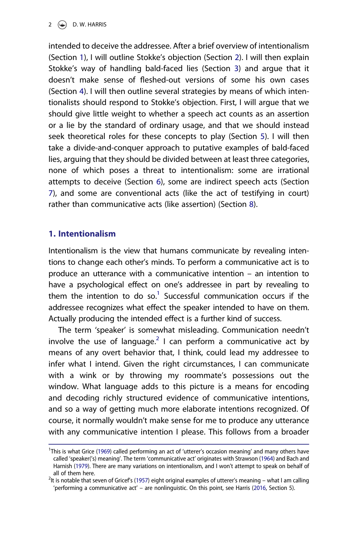<span id="page-1-0"></span>intended to deceive the addressee. After a brief overview of intentionalism (Section 1), I will outline Stokke's objection (Section [2\)](#page-2-0). I will then explain Stokke's way of handling bald-faced lies (Section [3](#page-3-0)) and argue that it doesn't make sense of fleshed-out versions of some his own cases (Section [4\)](#page-4-0). I will then outline several strategies by means of which intentionalists should respond to Stokke's objection. First, I will argue that we should give little weight to whether a speech act counts as an assertion or a lie by the standard of ordinary usage, and that we should instead seek theoretical roles for these concepts to play (Section [5](#page-5-0)). I will then take a divide-and-conquer approach to putative examples of bald-faced lies, arguing that they should be divided between at least three categories, none of which poses a threat to intentionalism: some are irrational attempts to deceive (Section [6\)](#page-8-0), some are indirect speech acts (Section [7](#page-10-0)), and some are conventional acts (like the act of testifying in court) rather than communicative acts (like assertion) (Section [8\)](#page-12-0).

# 1. Intentionalism

Intentionalism is the view that humans communicate by revealing intentions to change each other's minds. To perform a communicative act is to produce an utterance with a communicative intention – an intention to have a psychological effect on one's addressee in part by revealing to them the intention to do so.<sup>1</sup> Successful communication occurs if the addressee recognizes what effect the speaker intended to have on them. Actually producing the intended effect is a further kind of success.

The term 'speaker' is somewhat misleading. Communication needn't involve the use of language.<sup>2</sup> I can perform a communicative act by means of any overt behavior that, I think, could lead my addressee to infer what I intend. Given the right circumstances, I can communicate with a wink or by throwing my roommate's possessions out the window. What language adds to this picture is a means for encoding and decoding richly structured evidence of communicative intentions, and so a way of getting much more elaborate intentions recognized. Of course, it normally wouldn't make sense for me to produce any utterance with any communicative intention I please. This follows from a broader

<sup>&</sup>lt;sup>1</sup>This is what Grice ([1969\)](#page-16-0) called performing an act of 'utterer's occasion meaning' and many others have called 'speaker('s) meaning'. The term 'communicative act' originates with Strawson ([1964\)](#page-17-0) and Bach and Harnish [\(1979](#page-16-0)). There are many variations on intentionalism, and I won't attempt to speak on behalf of

all of them here.<br><sup>2</sup>lt is notable that seven of Gricef's ([1957\)](#page-16-0) eight original examples of utterer's meaning – what I am calling 'performing a communicative act' – are nonlinguistic. On this point, see Harris ([2016,](#page-16-0) Section 5).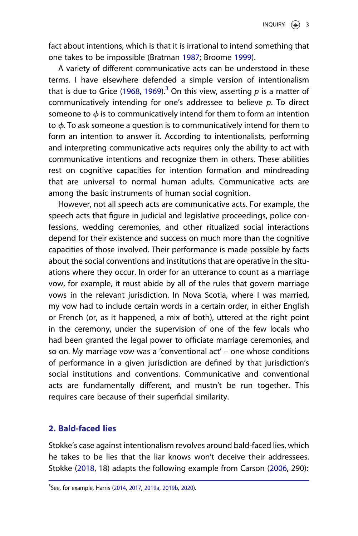<span id="page-2-0"></span>fact about intentions, which is that it is irrational to intend something that one takes to be impossible (Bratman [1987;](#page-16-0) Broome [1999\)](#page-16-0).

A variety of different communicative acts can be understood in these terms. I have elsewhere defended a simple version of intentionalism that is due to Grice [\(1968,](#page-16-0) [1969](#page-16-0)).<sup>3</sup> On this view, asserting p is a matter of communicatively intending for one's addressee to believe p. To direct someone to  $\phi$  is to communicatively intend for them to form an intention to  $\phi$ . To ask someone a question is to communicatively intend for them to form an intention to answer it. According to intentionalists, performing and interpreting communicative acts requires only the ability to act with communicative intentions and recognize them in others. These abilities rest on cognitive capacities for intention formation and mindreading that are universal to normal human adults. Communicative acts are among the basic instruments of human social cognition.

However, not all speech acts are communicative acts. For example, the speech acts that figure in judicial and legislative proceedings, police confessions, wedding ceremonies, and other ritualized social interactions depend for their existence and success on much more than the cognitive capacities of those involved. Their performance is made possible by facts about the social conventions and institutions that are operative in the situations where they occur. In order for an utterance to count as a marriage vow, for example, it must abide by all of the rules that govern marriage vows in the relevant jurisdiction. In Nova Scotia, where I was married, my vow had to include certain words in a certain order, in either English or French (or, as it happened, a mix of both), uttered at the right point in the ceremony, under the supervision of one of the few locals who had been granted the legal power to officiate marriage ceremonies, and so on. My marriage vow was a 'conventional act' – one whose conditions of performance in a given jurisdiction are defined by that jurisdiction's social institutions and conventions. Communicative and conventional acts are fundamentally different, and mustn't be run together. This requires care because of their superficial similarity.

# 2. Bald-faced lies

Stokke's case against intentionalism revolves around bald-faced lies, which he takes to be lies that the liar knows won't deceive their addressees. Stokke [\(2018,](#page-17-0) 18) adapts the following example from Carson [\(2006,](#page-16-0) 290):

<sup>3</sup> See, for example, Harris ([2014,](#page-16-0) [2017,](#page-17-0) [2019a](#page-17-0), [2019b,](#page-17-0) [2020\)](#page-17-0).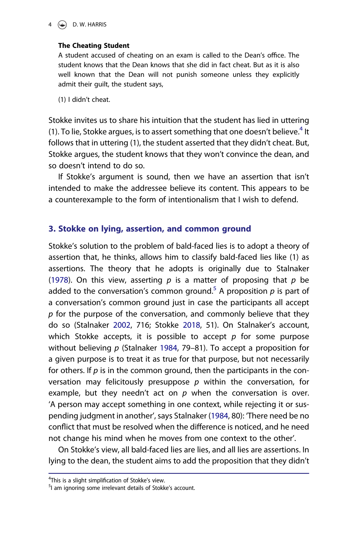<span id="page-3-0"></span>

#### The Cheating Student

A student accused of cheating on an exam is called to the Dean's office. The student knows that the Dean knows that she did in fact cheat. But as it is also well known that the Dean will not punish someone unless they explicitly admit their guilt, the student says,

(1) I didn't cheat.

Stokke invites us to share his intuition that the student has lied in uttering (1). To lie, Stokke argues, is to assert something that one doesn't believe.<sup>4</sup> It follows that in uttering (1), the student asserted that they didn't cheat. But, Stokke argues, the student knows that they won't convince the dean, and so doesn't intend to do so.

If Stokke's argument is sound, then we have an assertion that isn't intended to make the addressee believe its content. This appears to be a counterexample to the form of intentionalism that I wish to defend.

## 3. Stokke on lying, assertion, and common ground

Stokke's solution to the problem of bald-faced lies is to adopt a theory of assertion that, he thinks, allows him to classify bald-faced lies like (1) as assertions. The theory that he adopts is originally due to Stalnaker ([1978](#page-17-0)). On this view, asserting  $p$  is a matter of proposing that  $p$  be added to the conversation's common ground.<sup>5</sup> A proposition  $p$  is part of a conversation's common ground just in case the participants all accept  $p$  for the purpose of the conversation, and commonly believe that they do so (Stalnaker [2002](#page-17-0), 716; Stokke [2018](#page-17-0), 51). On Stalnaker's account, which Stokke accepts, it is possible to accept  $p$  for some purpose without believing  $p$  (Stalnaker [1984](#page-17-0), 79–81). To accept a proposition for a given purpose is to treat it as true for that purpose, but not necessarily for others. If  $p$  is in the common ground, then the participants in the conversation may felicitously presuppose  $p$  within the conversation, for example, but they needn't act on  $p$  when the conversation is over. 'A person may accept something in one context, while rejecting it or suspending judgment in another', says Stalnaker ([1984](#page-17-0), 80): 'There need be no conflict that must be resolved when the difference is noticed, and he need not change his mind when he moves from one context to the other'.

On Stokke's view, all bald-faced lies are lies, and all lies are assertions. In lying to the dean, the student aims to add the proposition that they didn't

<sup>&</sup>lt;sup>4</sup>This is a slight simplification of Stokke's view.

 $5$ I am ignoring some irrelevant details of Stokke's account.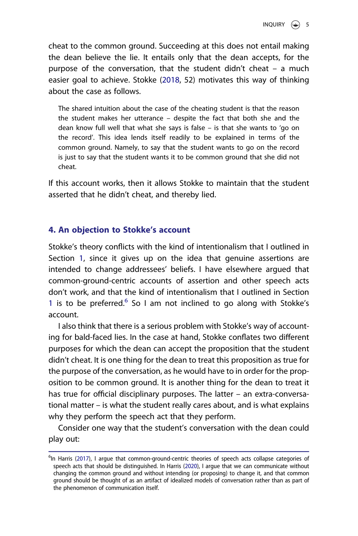<span id="page-4-0"></span>cheat to the common ground. Succeeding at this does not entail making the dean believe the lie. It entails only that the dean accepts, for the purpose of the conversation, that the student didn't cheat – a much easier goal to achieve. Stokke [\(2018,](#page-17-0) 52) motivates this way of thinking about the case as follows.

The shared intuition about the case of the cheating student is that the reason the student makes her utterance – despite the fact that both she and the dean know full well that what she says is false – is that she wants to 'go on the record'. This idea lends itself readily to be explained in terms of the common ground. Namely, to say that the student wants to go on the record is just to say that the student wants it to be common ground that she did not cheat.

If this account works, then it allows Stokke to maintain that the student asserted that he didn't cheat, and thereby lied.

# 4. An objection to Stokke's account

Stokke's theory conflicts with the kind of intentionalism that I outlined in Section [1](#page-1-0), since it gives up on the idea that genuine assertions are intended to change addressees' beliefs. I have elsewhere argued that common-ground-centric accounts of assertion and other speech acts don't work, and that the kind of intentionalism that I outlined in Section [1](#page-1-0) is to be preferred. $6$  So I am not inclined to go along with Stokke's account.

I also think that there is a serious problem with Stokke's way of accounting for bald-faced lies. In the case at hand, Stokke conflates two different purposes for which the dean can accept the proposition that the student didn't cheat. It is one thing for the dean to treat this proposition as true for the purpose of the conversation, as he would have to in order for the proposition to be common ground. It is another thing for the dean to treat it has true for official disciplinary purposes. The latter – an extra-conversational matter – is what the student really cares about, and is what explains why they perform the speech act that they perform.

Consider one way that the student's conversation with the dean could play out:

<sup>&</sup>lt;sup>6</sup>In Harris ([2017\)](#page-17-0), I argue that common-ground-centric theories of speech acts collapse categories of speech acts that should be distinguished. In Harris ([2020\)](#page-17-0), I argue that we can communicate without changing the common ground and without intending (or proposing) to change it, and that common ground should be thought of as an artifact of idealized models of conversation rather than as part of the phenomenon of communication itself.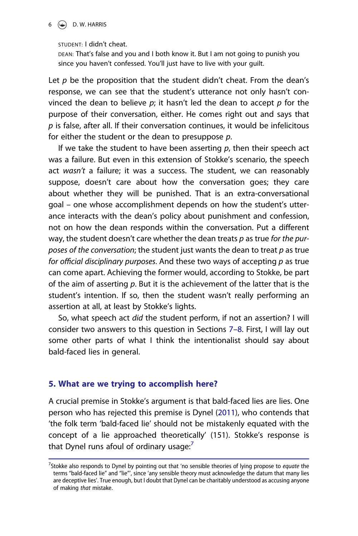#### <span id="page-5-0"></span> $6 \quad \circledcirc$  D. W. HARRIS

STUDENT: I didn't cheat.

DEAN: That's false and you and I both know it. But I am not going to punish you since you haven't confessed. You'll just have to live with your guilt.

Let  $p$  be the proposition that the student didn't cheat. From the dean's response, we can see that the student's utterance not only hasn't convinced the dean to believe  $p$ ; it hasn't led the dean to accept  $p$  for the purpose of their conversation, either. He comes right out and says that  $p$  is false, after all. If their conversation continues, it would be infelicitous for either the student or the dean to presuppose  $p$ .

If we take the student to have been asserting  $p$ , then their speech act was a failure. But even in this extension of Stokke's scenario, the speech act wasn't a failure; it was a success. The student, we can reasonably suppose, doesn't care about how the conversation goes; they care about whether they will be punished. That is an extra-conversational goal – one whose accomplishment depends on how the student's utterance interacts with the dean's policy about punishment and confession, not on how the dean responds within the conversation. Put a different way, the student doesn't care whether the dean treats  $p$  as true for the purposes of the conversation; the student just wants the dean to treat p as true for official disciplinary purposes. And these two ways of accepting p as true can come apart. Achieving the former would, according to Stokke, be part of the aim of asserting  $p$ . But it is the achievement of the latter that is the student's intention. If so, then the student wasn't really performing an assertion at all, at least by Stokke's lights.

So, what speech act did the student perform, if not an assertion? I will consider two answers to this question in Sections [7](#page-10-0)–[8.](#page-12-0) First, I will lay out some other parts of what I think the intentionalist should say about bald-faced lies in general.

#### 5. What are we trying to accomplish here?

A crucial premise in Stokke's argument is that bald-faced lies are lies. One person who has rejected this premise is Dynel [\(2011\)](#page-16-0), who contends that 'the folk term 'bald-faced lie' should not be mistakenly equated with the concept of a lie approached theoretically' (151). Stokke's response is that Dynel runs afoul of ordinary usage: $<sup>7</sup>$ </sup>

<sup>&</sup>lt;sup>7</sup>Stokke also responds to Dynel by pointing out that 'no sensible theories of lying propose to equate the terms "bald-faced lie" and "lie"', since 'any sensible theory must acknowledge the datum that many lies are deceptive lies'. True enough, but I doubt that Dynel can be charitably understood as accusing anyone of making that mistake.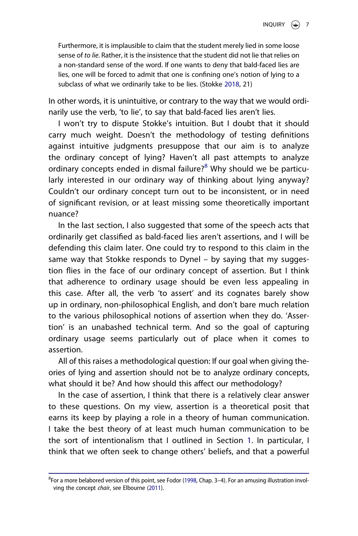<span id="page-6-0"></span>Furthermore, it is implausible to claim that the student merely lied in some loose sense of to lie. Rather, it is the insistence that the student did not lie that relies on a non-standard sense of the word. If one wants to deny that bald-faced lies are lies, one will be forced to admit that one is confining one's notion of lying to a subclass of what we ordinarily take to be lies. (Stokke [2018,](#page-17-0) 21)

In other words, it is unintuitive, or contrary to the way that we would ordinarily use the verb, 'to lie', to say that bald-faced lies aren't lies.

I won't try to dispute Stokke's intuition. But I doubt that it should carry much weight. Doesn't the methodology of testing definitions against intuitive judgments presuppose that our aim is to analyze the ordinary concept of lying? Haven't all past attempts to analyze ordinary concepts ended in dismal failure?<sup>8</sup> Why should we be particularly interested in our ordinary way of thinking about lying anyway? Couldn't our ordinary concept turn out to be inconsistent, or in need of significant revision, or at least missing some theoretically important nuance?

In the last section, I also suggested that some of the speech acts that ordinarily get classified as bald-faced lies aren't assertions, and I will be defending this claim later. One could try to respond to this claim in the same way that Stokke responds to Dynel – by saying that my suggestion flies in the face of our ordinary concept of assertion. But I think that adherence to ordinary usage should be even less appealing in this case. After all, the verb 'to assert' and its cognates barely show up in ordinary, non-philosophical English, and don't bare much relation to the various philosophical notions of assertion when they do. 'Assertion' is an unabashed technical term. And so the goal of capturing ordinary usage seems particularly out of place when it comes to assertion.

All of this raises a methodological question: If our goal when giving theories of lying and assertion should not be to analyze ordinary concepts, what should it be? And how should this affect our methodology?

In the case of assertion, I think that there is a relatively clear answer to these questions. On my view, assertion is a theoretical posit that earns its keep by playing a role in a theory of human communication. I take the best theory of at least much human communication to be the sort of intentionalism that I outlined in Section [1.](#page-1-0) In particular, I think that we often seek to change others' beliefs, and that a powerful

<sup>&</sup>lt;sup>8</sup>For a more belabored version of this point, see Fodor ([1998,](#page-16-0) Chap. 3–4). For an amusing illustration involving the concept chair, see Elbourne ([2011\)](#page-16-0).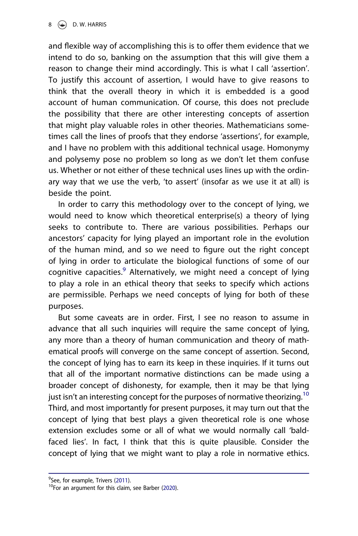<span id="page-7-0"></span>and flexible way of accomplishing this is to offer them evidence that we intend to do so, banking on the assumption that this will give them a reason to change their mind accordingly. This is what I call 'assertion'. To justify this account of assertion, I would have to give reasons to think that the overall theory in which it is embedded is a good account of human communication. Of course, this does not preclude the possibility that there are other interesting concepts of assertion that might play valuable roles in other theories. Mathematicians sometimes call the lines of proofs that they endorse 'assertions', for example, and I have no problem with this additional technical usage. Homonymy and polysemy pose no problem so long as we don't let them confuse us. Whether or not either of these technical uses lines up with the ordinary way that we use the verb, 'to assert' (insofar as we use it at all) is beside the point.

In order to carry this methodology over to the concept of lying, we would need to know which theoretical enterprise(s) a theory of lying seeks to contribute to. There are various possibilities. Perhaps our ancestors' capacity for lying played an important role in the evolution of the human mind, and so we need to figure out the right concept of lying in order to articulate the biological functions of some of our cognitive capacities.<sup>9</sup> Alternatively, we might need a concept of lying to play a role in an ethical theory that seeks to specify which actions are permissible. Perhaps we need concepts of lying for both of these purposes.

But some caveats are in order. First, I see no reason to assume in advance that all such inquiries will require the same concept of lying, any more than a theory of human communication and theory of mathematical proofs will converge on the same concept of assertion. Second, the concept of lying has to earn its keep in these inquiries. If it turns out that all of the important normative distinctions can be made using a broader concept of dishonesty, for example, then it may be that lying just isn't an interesting concept for the purposes of normative theorizing.<sup>10</sup> Third, and most importantly for present purposes, it may turn out that the concept of lying that best plays a given theoretical role is one whose extension excludes some or all of what we would normally call 'baldfaced lies'. In fact, I think that this is quite plausible. Consider the concept of lying that we might want to play a role in normative ethics.

<sup>&</sup>lt;sup>9</sup>See, for example, Trivers (2011).

 $10$ For an argument for this claim, see Barber ([2020\)](#page-16-0).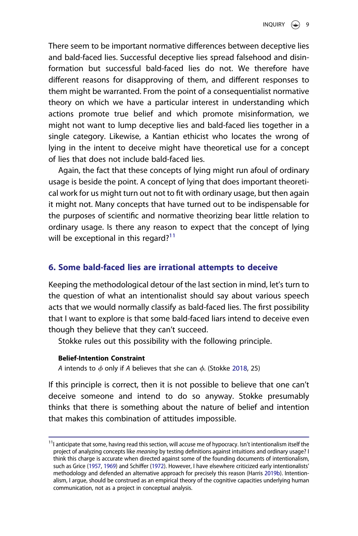

<span id="page-8-0"></span>There seem to be important normative differences between deceptive lies and bald-faced lies. Successful deceptive lies spread falsehood and disinformation but successful bald-faced lies do not. We therefore have different reasons for disapproving of them, and different responses to them might be warranted. From the point of a consequentialist normative theory on which we have a particular interest in understanding which actions promote true belief and which promote misinformation, we might not want to lump deceptive lies and bald-faced lies together in a single category. Likewise, a Kantian ethicist who locates the wrong of lying in the intent to deceive might have theoretical use for a concept of lies that does not include bald-faced lies.

Again, the fact that these concepts of lying might run afoul of ordinary usage is beside the point. A concept of lying that does important theoretical work for us might turn out not to fit with ordinary usage, but then again it might not. Many concepts that have turned out to be indispensable for the purposes of scientific and normative theorizing bear little relation to ordinary usage. Is there any reason to expect that the concept of lying will be exceptional in this regard? $11$ 

## 6. Some bald-faced lies are irrational attempts to deceive

Keeping the methodological detour of the last section in mind, let's turn to the question of what an intentionalist should say about various speech acts that we would normally classify as bald-faced lies. The first possibility that I want to explore is that some bald-faced liars intend to deceive even though they believe that they can't succeed.

Stokke rules out this possibility with the following principle.

#### Belief-Intention Constraint

A intends to  $\phi$  only if A believes that she can  $\phi$ . (Stokke [2018](#page-17-0), 25)

If this principle is correct, then it is not possible to believe that one can't deceive someone and intend to do so anyway. Stokke presumably thinks that there is something about the nature of belief and intention that makes this combination of attitudes impossible.

<sup>&</sup>lt;sup>11</sup>I anticipate that some, having read this section, will accuse me of hypocracy. Isn't intentionalism itself the project of analyzing concepts like meaning by testing definitions against intuitions and ordinary usage? I think this charge is accurate when directed against some of the founding documents of intentionalism, such as Grice ([1957,](#page-16-0) [1969](#page-16-0)) and Schiffer ([1972\)](#page-17-0). However, I have elsewhere criticized early intentionalists' methodology and defended an alternative approach for precisely this reason (Harris [2019b](#page-17-0)). Intentionalism, I argue, should be construed as an empirical theory of the cognitive capacities underlying human communication, not as a project in conceptual analysis.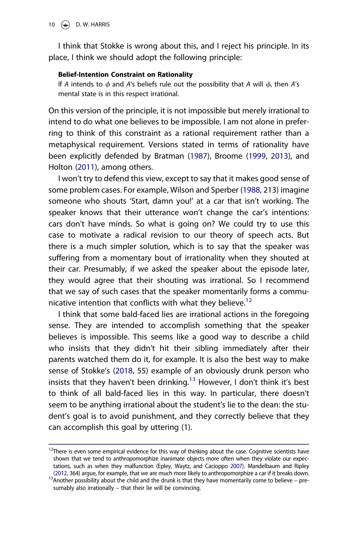<span id="page-9-0"></span>I think that Stokke is wrong about this, and I reject his principle. In its place, I think we should adopt the following principle:

#### Belief-Intention Constraint on Rationality

If A intends to  $\phi$  and A's beliefs rule out the possibility that A will  $\phi$ , then A's mental state is in this respect irrational.

On this version of the principle, it is not impossible but merely irrational to intend to do what one believes to be impossible. I am not alone in preferring to think of this constraint as a rational requirement rather than a metaphysical requirement. Versions stated in terms of rationality have been explicitly defended by Bratman ([1987](#page-16-0)), Broome [\(1999,](#page-16-0) [2013](#page-16-0)), and Holton ([2011](#page-17-0)), among others.

I won't try to defend this view, except to say that it makes good sense of some problem cases. For example, Wilson and Sperber [\(1988](#page-17-0), 213) imagine someone who shouts 'Start, damn you!' at a car that isn't working. The speaker knows that their utterance won't change the car's intentions: cars don't have minds. So what is going on? We could try to use this case to motivate a radical revision to our theory of speech acts. But there is a much simpler solution, which is to say that the speaker was suffering from a momentary bout of irrationality when they shouted at their car. Presumably, if we asked the speaker about the episode later, they would agree that their shouting was irrational. So I recommend that we say of such cases that the speaker momentarily forms a communicative intention that conflicts with what they believe.<sup>12</sup>

I think that some bald-faced lies are irrational actions in the foregoing sense. They are intended to accomplish something that the speaker believes is impossible. This seems like a good way to describe a child who insists that they didn't hit their sibling immediately after their parents watched them do it, for example. It is also the best way to make sense of Stokke's ([2018,](#page-17-0) 55) example of an obviously drunk person who insists that they haven't been drinking.<sup>13</sup> However, I don't think it's best to think of all bald-faced lies in this way. In particular, there doesn't seem to be anything irrational about the student's lie to the dean: the student's goal is to avoid punishment, and they correctly believe that they can accomplish this goal by uttering (1).

 $12$ There is even some empirical evidence for this way of thinking about the case. Cognitive scientists have shown that we tend to anthropomorphize inanimate objects more often when they violate our expectations, such as when they malfunction (Epley, Waytz, and Cacioppo [2007](#page-16-0)). Mandelbaum and Ripley [\(2012,](#page-17-0) 364) argue, for example, that we are much more likely to anthropomorphize a car if it breaks down. 13Another possibility about the child and the drunk is that they have momentarily come to believe – pre-

sumably also irrationally – that their lie will be convincing.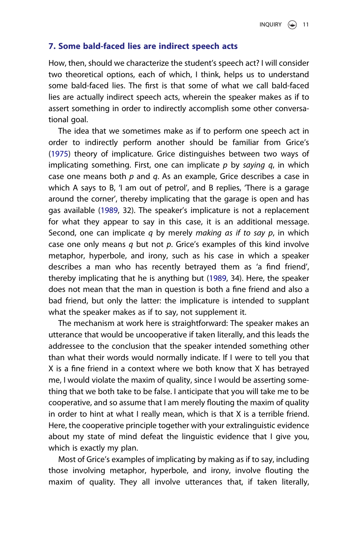### <span id="page-10-0"></span>7. Some bald-faced lies are indirect speech acts

How, then, should we characterize the student's speech act? I will consider two theoretical options, each of which, I think, helps us to understand some bald-faced lies. The first is that some of what we call bald-faced lies are actually indirect speech acts, wherein the speaker makes as if to assert something in order to indirectly accomplish some other conversational goal.

The idea that we sometimes make as if to perform one speech act in order to indirectly perform another should be familiar from Grice's ([1975](#page-16-0)) theory of implicature. Grice distinguishes between two ways of implicating something. First, one can implicate  $p$  by saying  $q$ , in which case one means both  $p$  and  $q$ . As an example, Grice describes a case in which A says to B, 'I am out of petrol', and B replies, 'There is a garage around the corner', thereby implicating that the garage is open and has gas available [\(1989,](#page-16-0) 32). The speaker's implicature is not a replacement for what they appear to say in this case, it is an additional message. Second, one can implicate q by merely making as if to say  $p$ , in which case one only means  $q$  but not  $p$ . Grice's examples of this kind involve metaphor, hyperbole, and irony, such as his case in which a speaker describes a man who has recently betrayed them as 'a find friend', thereby implicating that he is anything but [\(1989,](#page-16-0) 34). Here, the speaker does not mean that the man in question is both a fine friend and also a bad friend, but only the latter: the implicature is intended to supplant what the speaker makes as if to say, not supplement it.

The mechanism at work here is straightforward: The speaker makes an utterance that would be uncooperative if taken literally, and this leads the addressee to the conclusion that the speaker intended something other than what their words would normally indicate. If I were to tell you that X is a fine friend in a context where we both know that X has betrayed me, I would violate the maxim of quality, since I would be asserting something that we both take to be false. I anticipate that you will take me to be cooperative, and so assume that I am merely flouting the maxim of quality in order to hint at what I really mean, which is that X is a terrible friend. Here, the cooperative principle together with your extralinguistic evidence about my state of mind defeat the linguistic evidence that I give you, which is exactly my plan.

Most of Grice's examples of implicating by making as if to say, including those involving metaphor, hyperbole, and irony, involve flouting the maxim of quality. They all involve utterances that, if taken literally,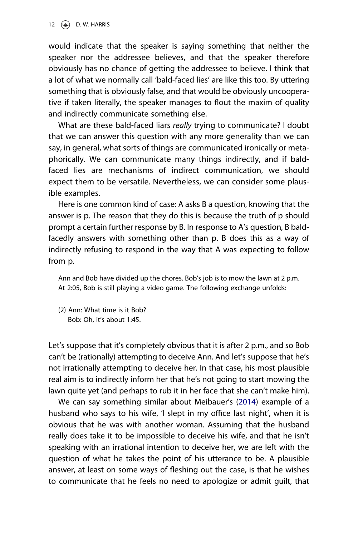<span id="page-11-0"></span>would indicate that the speaker is saying something that neither the speaker nor the addressee believes, and that the speaker therefore obviously has no chance of getting the addressee to believe. I think that a lot of what we normally call 'bald-faced lies' are like this too. By uttering something that is obviously false, and that would be obviously uncooperative if taken literally, the speaker manages to flout the maxim of quality and indirectly communicate something else.

What are these bald-faced liars really trying to communicate? I doubt that we can answer this question with any more generality than we can say, in general, what sorts of things are communicated ironically or metaphorically. We can communicate many things indirectly, and if baldfaced lies are mechanisms of indirect communication, we should expect them to be versatile. Nevertheless, we can consider some plausible examples.

Here is one common kind of case: A asks B a question, knowing that the answer is p. The reason that they do this is because the truth of p should prompt a certain further response by B. In response to A's question, B baldfacedly answers with something other than p. B does this as a way of indirectly refusing to respond in the way that A was expecting to follow from p.

Ann and Bob have divided up the chores. Bob's job is to mow the lawn at 2 p.m. At 2:05, Bob is still playing a video game. The following exchange unfolds:

(2) Ann: What time is it Bob? Bob: Oh, it's about 1:45.

Let's suppose that it's completely obvious that it is after 2 p.m., and so Bob can't be (rationally) attempting to deceive Ann. And let's suppose that he's not irrationally attempting to deceive her. In that case, his most plausible real aim is to indirectly inform her that he's not going to start mowing the lawn quite yet (and perhaps to rub it in her face that she can't make him).

We can say something similar about Meibauer's ([2014](#page-17-0)) example of a husband who says to his wife, 'I slept in my office last night', when it is obvious that he was with another woman. Assuming that the husband really does take it to be impossible to deceive his wife, and that he isn't speaking with an irrational intention to deceive her, we are left with the question of what he takes the point of his utterance to be. A plausible answer, at least on some ways of fleshing out the case, is that he wishes to communicate that he feels no need to apologize or admit guilt, that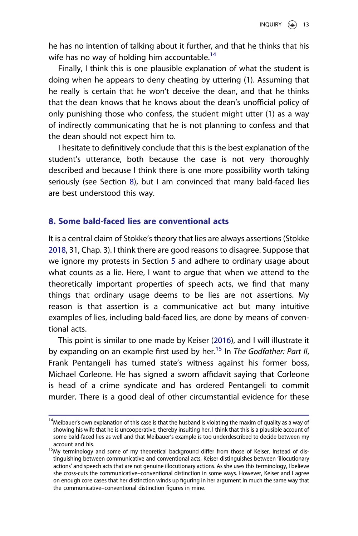<span id="page-12-0"></span>he has no intention of talking about it further, and that he thinks that his wife has no way of holding him accountable.<sup>14</sup>

Finally, I think this is one plausible explanation of what the student is doing when he appears to deny cheating by uttering (1). Assuming that he really is certain that he won't deceive the dean, and that he thinks that the dean knows that he knows about the dean's unofficial policy of only punishing those who confess, the student might utter (1) as a way of indirectly communicating that he is not planning to confess and that the dean should not expect him to.

I hesitate to definitively conclude that this is the best explanation of the student's utterance, both because the case is not very thoroughly described and because I think there is one more possibility worth taking seriously (see Section 8), but I am convinced that many bald-faced lies are best understood this way.

## 8. Some bald-faced lies are conventional acts

It is a central claim of Stokke's theory that lies are always assertions (Stokke [2018](#page-17-0), 31, Chap. 3). I think there are good reasons to disagree. Suppose that we ignore my protests in Section [5](#page-5-0) and adhere to ordinary usage about what counts as a lie. Here, I want to argue that when we attend to the theoretically important properties of speech acts, we find that many things that ordinary usage deems to be lies are not assertions. My reason is that assertion is a communicative act but many intuitive examples of lies, including bald-faced lies, are done by means of conventional acts.

This point is similar to one made by Keiser [\(2016\)](#page-17-0), and I will illustrate it by expanding on an example first used by her.<sup>15</sup> In The Godfather: Part II, Frank Pentangeli has turned state's witness against his former boss, Michael Corleone. He has signed a sworn affidavit saying that Corleone is head of a crime syndicate and has ordered Pentangeli to commit murder. There is a good deal of other circumstantial evidence for these

<sup>&</sup>lt;sup>14</sup>Meibauer's own explanation of this case is that the husband is violating the maxim of quality as a way of showing his wife that he is uncooperative, thereby insulting her. I think that this is a plausible account of some bald-faced lies as well and that Meibauer's example is too underdescribed to decide between my

account and his.<br><sup>15</sup>My terminology and some of my theoretical background differ from those of Keiser. Instead of distinguishing between communicative and conventional acts, Keiser distinguishes between 'illocutionary actions' and speech acts that are not genuine illocutionary actions. As she uses this terminology, I believe she cross-cuts the communicative–conventional distinction in some ways. However, Keiser and I agree on enough core cases that her distinction winds up figuring in her argument in much the same way that the communicative–conventional distinction figures in mine.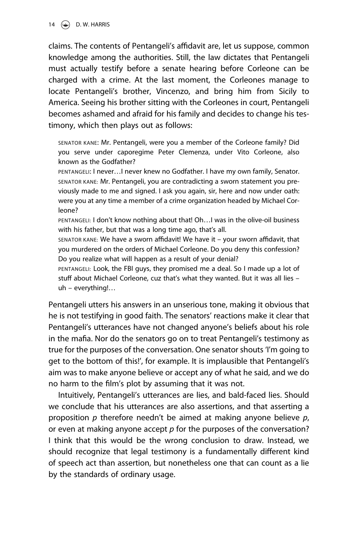claims. The contents of Pentangeli's affidavit are, let us suppose, common knowledge among the authorities. Still, the law dictates that Pentangeli must actually testify before a senate hearing before Corleone can be charged with a crime. At the last moment, the Corleones manage to locate Pentangeli's brother, Vincenzo, and bring him from Sicily to America. Seeing his brother sitting with the Corleones in court, Pentangeli becomes ashamed and afraid for his family and decides to change his testimony, which then plays out as follows:

SENATOR KANE: Mr. Pentangeli, were you a member of the Corleone family? Did you serve under caporegime Peter Clemenza, under Vito Corleone, also known as the Godfather?

PENTANGELI: I never... I never knew no Godfather. I have my own family, Senator. SENATOR KANE: Mr. Pentangeli, you are contradicting a sworn statement you previously made to me and signed. I ask you again, sir, here and now under oath: were you at any time a member of a crime organization headed by Michael Corleone?

PENTANGELI: I don't know nothing about that! Oh…I was in the olive-oil business with his father, but that was a long time ago, that's all.

SENATOR KANE: We have a sworn affidavit! We have it – your sworn affidavit, that you murdered on the orders of Michael Corleone. Do you deny this confession? Do you realize what will happen as a result of your denial?

PENTANGELI: Look, the FBI guys, they promised me a deal. So I made up a lot of stuff about Michael Corleone, cuz that's what they wanted. But it was all lies – uh – everything!…

Pentangeli utters his answers in an unserious tone, making it obvious that he is not testifying in good faith. The senators' reactions make it clear that Pentangeli's utterances have not changed anyone's beliefs about his role in the mafia. Nor do the senators go on to treat Pentangeli's testimony as true for the purposes of the conversation. One senator shouts 'I'm going to get to the bottom of this!', for example. It is implausible that Pentangeli's aim was to make anyone believe or accept any of what he said, and we do no harm to the film's plot by assuming that it was not.

Intuitively, Pentangeli's utterances are lies, and bald-faced lies. Should we conclude that his utterances are also assertions, and that asserting a proposition  $p$  therefore needn't be aimed at making anyone believe  $p$ , or even at making anyone accept  $p$  for the purposes of the conversation? I think that this would be the wrong conclusion to draw. Instead, we should recognize that legal testimony is a fundamentally different kind of speech act than assertion, but nonetheless one that can count as a lie by the standards of ordinary usage.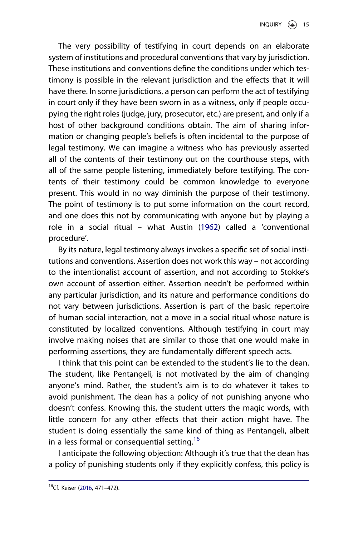<span id="page-14-0"></span>The very possibility of testifying in court depends on an elaborate system of institutions and procedural conventions that vary by jurisdiction. These institutions and conventions define the conditions under which testimony is possible in the relevant jurisdiction and the effects that it will have there. In some jurisdictions, a person can perform the act of testifying in court only if they have been sworn in as a witness, only if people occupying the right roles (judge, jury, prosecutor, etc.) are present, and only if a host of other background conditions obtain. The aim of sharing information or changing people's beliefs is often incidental to the purpose of legal testimony. We can imagine a witness who has previously asserted all of the contents of their testimony out on the courthouse steps, with all of the same people listening, immediately before testifying. The contents of their testimony could be common knowledge to everyone present. This would in no way diminish the purpose of their testimony. The point of testimony is to put some information on the court record, and one does this not by communicating with anyone but by playing a role in a social ritual – what Austin [\(1962](#page-16-0)) called a 'conventional procedure'.

By its nature, legal testimony always invokes a specific set of social institutions and conventions. Assertion does not work this way – not according to the intentionalist account of assertion, and not according to Stokke's own account of assertion either. Assertion needn't be performed within any particular jurisdiction, and its nature and performance conditions do not vary between jurisdictions. Assertion is part of the basic repertoire of human social interaction, not a move in a social ritual whose nature is constituted by localized conventions. Although testifying in court may involve making noises that are similar to those that one would make in performing assertions, they are fundamentally different speech acts.

I think that this point can be extended to the student's lie to the dean. The student, like Pentangeli, is not motivated by the aim of changing anyone's mind. Rather, the student's aim is to do whatever it takes to avoid punishment. The dean has a policy of not punishing anyone who doesn't confess. Knowing this, the student utters the magic words, with little concern for any other effects that their action might have. The student is doing essentially the same kind of thing as Pentangeli, albeit in a less formal or consequential setting.<sup>16</sup>

I anticipate the following objection: Although it's true that the dean has a policy of punishing students only if they explicitly confess, this policy is

<sup>&</sup>lt;sup>16</sup>Cf. Keiser ([2016,](#page-17-0) 471-472).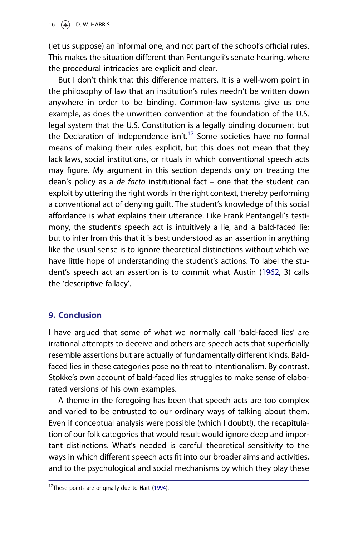<span id="page-15-0"></span>(let us suppose) an informal one, and not part of the school's official rules. This makes the situation different than Pentangeli's senate hearing, where the procedural intricacies are explicit and clear.

But I don't think that this difference matters. It is a well-worn point in the philosophy of law that an institution's rules needn't be written down anywhere in order to be binding. Common-law systems give us one example, as does the unwritten convention at the foundation of the U.S. legal system that the U.S. Constitution is a legally binding document but the Declaration of Independence isn't.<sup>17</sup> Some societies have no formal means of making their rules explicit, but this does not mean that they lack laws, social institutions, or rituals in which conventional speech acts may figure. My argument in this section depends only on treating the dean's policy as a de facto institutional fact – one that the student can exploit by uttering the right words in the right context, thereby performing a conventional act of denying guilt. The student's knowledge of this social affordance is what explains their utterance. Like Frank Pentangeli's testimony, the student's speech act is intuitively a lie, and a bald-faced lie; but to infer from this that it is best understood as an assertion in anything like the usual sense is to ignore theoretical distinctions without which we have little hope of understanding the student's actions. To label the student's speech act an assertion is to commit what Austin ([1962,](#page-16-0) 3) calls the 'descriptive fallacy'.

# 9. Conclusion

I have argued that some of what we normally call 'bald-faced lies' are irrational attempts to deceive and others are speech acts that superficially resemble assertions but are actually of fundamentally different kinds. Baldfaced lies in these categories pose no threat to intentionalism. By contrast, Stokke's own account of bald-faced lies struggles to make sense of elaborated versions of his own examples.

A theme in the foregoing has been that speech acts are too complex and varied to be entrusted to our ordinary ways of talking about them. Even if conceptual analysis were possible (which I doubt!), the recapitulation of our folk categories that would result would ignore deep and important distinctions. What's needed is careful theoretical sensitivity to the ways in which different speech acts fit into our broader aims and activities, and to the psychological and social mechanisms by which they play these

 $17$ These points are originally due to Hart [\(1994](#page-17-0)).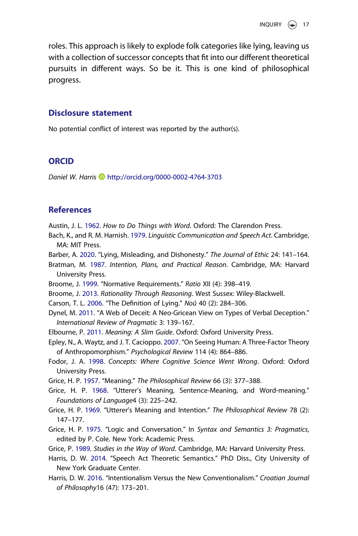<span id="page-16-0"></span>roles. This approach is likely to explode folk categories like lying, leaving us with a collection of successor concepts that fit into our different theoretical pursuits in different ways. So be it. This is one kind of philosophical progress.

#### Disclosure statement

No potential conflict of interest was reported by the author(s).

#### **ORCID**

Daniel W. Harris <http://orcid.org/0000-0002-4764-3703>

#### References

Austin, J. L. [1962](#page-14-0). How to Do Things with Word. Oxford: The Clarendon Press.

- Bach, K., and R. M. Harnish. [1979.](#page-1-0) Linguistic Communication and Speech Act. Cambridge, MA: MIT Press.
- Barber, A. [2020](#page-7-0). "Lying, Misleading, and Dishonesty." The Journal of Ethic 24: 141–164.
- Bratman, M. [1987.](#page-2-0) Intention, Plans, and Practical Reason. Cambridge, MA: Harvard University Press.
- Broome, J. [1999](#page-2-0). "Normative Requirements." Ratio XII (4): 398–419.
- Broome, J. [2013](#page-9-0). Rationality Through Reasoning. West Sussex: Wiley-Blackwell.
- Carson, T. L. [2006](#page-2-0). "The Definition of Lying." Noû 40 (2): 284–306.
- Dynel, M. [2011.](#page-5-0) "A Web of Deceit: A Neo-Gricean View on Types of Verbal Deception." International Review of Pragmatic 3: 139–167.
- Elbourne, P. [2011.](#page-6-0) Meaning: A Slim Guide. Oxford: Oxford University Press.
- Epley, N., A. Waytz, and J. T. Cacioppo. [2007.](#page-9-0) "On Seeing Human: A Three-Factor Theory of Anthropomorphism." Psychological Review 114 (4): 864–886.
- Fodor, J. A. [1998.](#page-6-0) Concepts: Where Cognitive Science Went Wrong. Oxford: Oxford University Press.
- Grice, H. P. [1957.](#page-1-0) "Meaning." The Philosophical Review 66 (3): 377–388.
- Grice, H. P. [1968](#page-2-0). "Utterer's Meaning, Sentence-Meaning, and Word-meaning." Foundations of Language4 (3): 225–242.
- Grice, H. P. [1969](#page-1-0). "Utterer's Meaning and Intention." The Philosophical Review 78 (2): 147–177.
- Grice, H. P. [1975.](#page-10-0) "Logic and Conversation." In Syntax and Semantics 3: Pragmatics, edited by P. Cole. New York: Academic Press.
- Grice, P. [1989](#page-10-0). Studies in the Way of Word. Cambridge, MA: Harvard University Press.
- Harris, D. W. [2014.](#page-2-0) "Speech Act Theoretic Semantics." PhD Diss., City University of New York Graduate Center.
- Harris, D. W. [2016](#page-1-0). "Intentionalism Versus the New Conventionalism." Croatian Journal of Philosophy16 (47): 173–201.